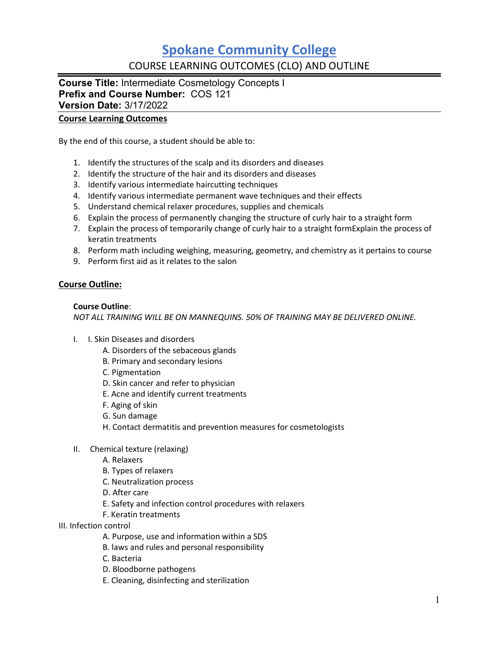# **Spokane Community College** COURSE LEARNING OUTCOMES (CLO) AND OUTLINE

**Course Title:** Intermediate Cosmetology Concepts I **Prefix and Course Number:** COS 121 **Version Date:** 3/17/2022

### **Course Learning Outcomes**

By the end of this course, a student should be able to:

- 1. Identify the structures of the scalp and its disorders and diseases
- 2. Identify the structure of the hair and its disorders and diseases
- 3. Identify various intermediate haircutting techniques
- 4. Identify various intermediate permanent wave techniques and their effects
- 5. Understand chemical relaxer procedures, supplies and chemicals
- 6. Explain the process of permanently changing the structure of curly hair to a straight form
- 7. Explain the process of temporarily change of curly hair to a straight formExplain the process of keratin treatments
- 8. Perform math including weighing, measuring, geometry, and chemistry as it pertains to course
- 9. Perform first aid as it relates to the salon

### **Course Outline:**

#### **Course Outline**:

*NOT ALL TRAINING WILL BE ON MANNEQUINS. 50% OF TRAINING MAY BE DELIVERED ONLINE.*

- I. I. Skin Diseases and disorders
	- A. Disorders of the sebaceous glands
	- B. Primary and secondary lesions
	- C. Pigmentation
	- D. Skin cancer and refer to physician
	- E. Acne and identify current treatments
	- F. Aging of skin
	- G. Sun damage
	- H. Contact dermatitis and prevention measures for cosmetologists
- II. Chemical texture (relaxing)
	- A. Relaxers
	- B. Types of relaxers
	- C. Neutralization process
	- D. After care
	- E. Safety and infection control procedures with relaxers
	- F. Keratin treatments
- III. Infection control
	- A. Purpose, use and information within a SDS
	- B. laws and rules and personal responsibility
	- C. Bacteria
	- D. Bloodborne pathogens
	- E. Cleaning, disinfecting and sterilization